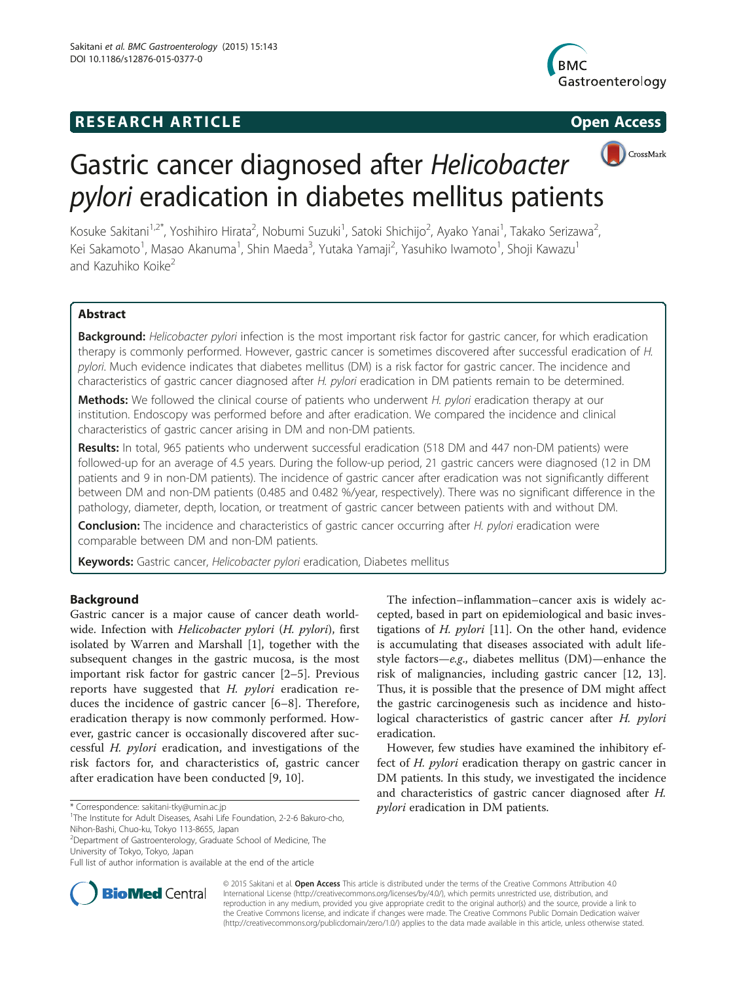# **RESEARCH ARTICLE Example 2014 12:30 The SEAR CHA RTICLE**





Kosuke Sakitani<sup>1,2\*</sup>, Yoshihiro Hirata<sup>2</sup>, Nobumi Suzuki<sup>1</sup>, Satoki Shichijo<sup>2</sup>, Ayako Yanai<sup>1</sup>, Takako Serizawa<sup>2</sup> , Kei Sakamoto<sup>1</sup>, Masao Akanuma<sup>1</sup>, Shin Maeda<sup>3</sup>, Yutaka Yamaji<sup>2</sup>, Yasuhiko Iwamoto<sup>1</sup>, Shoji Kawazu<sup>1</sup> and Kazuhiko Koike<sup>2</sup>

# Abstract

Background: Helicobacter pylori infection is the most important risk factor for gastric cancer, for which eradication therapy is commonly performed. However, gastric cancer is sometimes discovered after successful eradication of H. pylori. Much evidence indicates that diabetes mellitus (DM) is a risk factor for gastric cancer. The incidence and characteristics of gastric cancer diagnosed after H. pylori eradication in DM patients remain to be determined.

Methods: We followed the clinical course of patients who underwent H. pylori eradication therapy at our institution. Endoscopy was performed before and after eradication. We compared the incidence and clinical characteristics of gastric cancer arising in DM and non-DM patients.

Results: In total, 965 patients who underwent successful eradication (518 DM and 447 non-DM patients) were followed-up for an average of 4.5 years. During the follow-up period, 21 gastric cancers were diagnosed (12 in DM patients and 9 in non-DM patients). The incidence of gastric cancer after eradication was not significantly different between DM and non-DM patients (0.485 and 0.482 %/year, respectively). There was no significant difference in the pathology, diameter, depth, location, or treatment of gastric cancer between patients with and without DM.

**Conclusion:** The incidence and characteristics of gastric cancer occurring after H. pylori eradication were comparable between DM and non-DM patients.

Keywords: Gastric cancer, Helicobacter pylori eradication, Diabetes mellitus

# Background

Gastric cancer is a major cause of cancer death worldwide. Infection with Helicobacter pylori (H. pylori), first isolated by Warren and Marshall [\[1](#page-5-0)], together with the subsequent changes in the gastric mucosa, is the most important risk factor for gastric cancer [[2](#page-5-0)–[5](#page-5-0)]. Previous reports have suggested that H. pylori eradication reduces the incidence of gastric cancer [[6](#page-5-0)–[8\]](#page-5-0). Therefore, eradication therapy is now commonly performed. However, gastric cancer is occasionally discovered after successful H. pylori eradication, and investigations of the risk factors for, and characteristics of, gastric cancer after eradication have been conducted [\[9](#page-5-0), [10](#page-5-0)].

The infection–inflammation–cancer axis is widely accepted, based in part on epidemiological and basic investigations of  $H.$   $pylori$  [[11\]](#page-5-0). On the other hand, evidence is accumulating that diseases associated with adult lifestyle factors—e.g., diabetes mellitus (DM)—enhance the risk of malignancies, including gastric cancer [[12](#page-5-0), [13](#page-5-0)]. Thus, it is possible that the presence of DM might affect the gastric carcinogenesis such as incidence and histological characteristics of gastric cancer after H. pylori eradication.

However, few studies have examined the inhibitory effect of H. pylori eradication therapy on gastric cancer in DM patients. In this study, we investigated the incidence and characteristics of gastric cancer diagnosed after  $H$ .<br>*pylori* eradication in DM patients.



© 2015 Sakitani et al. Open Access This article is distributed under the terms of the Creative Commons Attribution 4.0 International License [\(http://creativecommons.org/licenses/by/4.0/](http://creativecommons.org/licenses/by/4.0/)), which permits unrestricted use, distribution, and reproduction in any medium, provided you give appropriate credit to the original author(s) and the source, provide a link to the Creative Commons license, and indicate if changes were made. The Creative Commons Public Domain Dedication waiver [\(http://creativecommons.org/publicdomain/zero/1.0/](http://creativecommons.org/publicdomain/zero/1.0/)) applies to the data made available in this article, unless otherwise stated.

<sup>\*</sup> Correspondence: [sakitani-tky@umin.ac.jp](mailto:sakitani-tky@umin.ac.jp) pylori eradication in DM patients. <sup>1</sup> The Institute for Adult Diseases, Asahi Life Foundation, 2-2-6 Bakuro-cho, Nihon-Bashi, Chuo-ku, Tokyo 113-8655, Japan

<sup>2</sup> Department of Gastroenterology, Graduate School of Medicine, The University of Tokyo, Tokyo, Japan

Full list of author information is available at the end of the article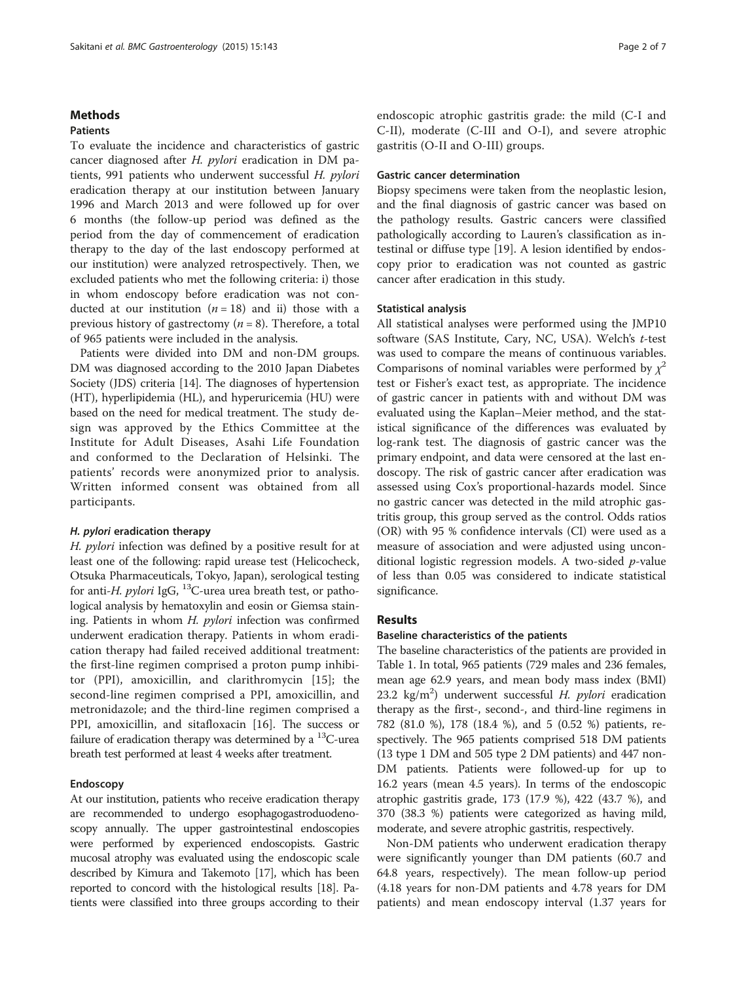#### **Methods**

# Patients

To evaluate the incidence and characteristics of gastric cancer diagnosed after H. pylori eradication in DM patients, 991 patients who underwent successful H. pylori eradication therapy at our institution between January 1996 and March 2013 and were followed up for over 6 months (the follow-up period was defined as the period from the day of commencement of eradication therapy to the day of the last endoscopy performed at our institution) were analyzed retrospectively. Then, we excluded patients who met the following criteria: i) those in whom endoscopy before eradication was not conducted at our institution  $(n = 18)$  and ii) those with a previous history of gastrectomy ( $n = 8$ ). Therefore, a total of 965 patients were included in the analysis.

Patients were divided into DM and non-DM groups. DM was diagnosed according to the 2010 Japan Diabetes Society (JDS) criteria [\[14\]](#page-5-0). The diagnoses of hypertension (HT), hyperlipidemia (HL), and hyperuricemia (HU) were based on the need for medical treatment. The study design was approved by the Ethics Committee at the Institute for Adult Diseases, Asahi Life Foundation and conformed to the Declaration of Helsinki. The patients' records were anonymized prior to analysis. Written informed consent was obtained from all participants.

#### H. pylori eradication therapy

H. pylori infection was defined by a positive result for at least one of the following: rapid urease test (Helicocheck, Otsuka Pharmaceuticals, Tokyo, Japan), serological testing for anti-H. pylori IgG,  $^{13}$ C-urea urea breath test, or pathological analysis by hematoxylin and eosin or Giemsa staining. Patients in whom H. pylori infection was confirmed underwent eradication therapy. Patients in whom eradication therapy had failed received additional treatment: the first-line regimen comprised a proton pump inhibitor (PPI), amoxicillin, and clarithromycin [[15](#page-5-0)]; the second-line regimen comprised a PPI, amoxicillin, and metronidazole; and the third-line regimen comprised a PPI, amoxicillin, and sitafloxacin [\[16](#page-5-0)]. The success or failure of eradication therapy was determined by a  $^{13}$ C-urea breath test performed at least 4 weeks after treatment.

### Endoscopy

At our institution, patients who receive eradication therapy are recommended to undergo esophagogastroduodenoscopy annually. The upper gastrointestinal endoscopies were performed by experienced endoscopists. Gastric mucosal atrophy was evaluated using the endoscopic scale described by Kimura and Takemoto [\[17](#page-5-0)], which has been reported to concord with the histological results [\[18\]](#page-5-0). Patients were classified into three groups according to their endoscopic atrophic gastritis grade: the mild (C-I and C-II), moderate (C-III and O-I), and severe atrophic gastritis (O-II and O-III) groups.

#### Gastric cancer determination

Biopsy specimens were taken from the neoplastic lesion, and the final diagnosis of gastric cancer was based on the pathology results. Gastric cancers were classified pathologically according to Lauren's classification as intestinal or diffuse type [\[19](#page-5-0)]. A lesion identified by endoscopy prior to eradication was not counted as gastric cancer after eradication in this study.

#### Statistical analysis

All statistical analyses were performed using the JMP10 software (SAS Institute, Cary, NC, USA). Welch'<sup>s</sup> t-test was used to compare the means of continuous variables. Comparisons of nominal variables were performed by  $\chi^2$ test or Fisher's exact test, as appropriate. The incidence of gastric cancer in patients with and without DM was evaluated using the Kaplan–Meier method, and the statistical significance of the differences was evaluated by log-rank test. The diagnosis of gastric cancer was the primary endpoint, and data were censored at the last endoscopy. The risk of gastric cancer after eradication was assessed using Cox's proportional-hazards model. Since no gastric cancer was detected in the mild atrophic gastritis group, this group served as the control. Odds ratios (OR) with 95 % confidence intervals (CI) were used as a measure of association and were adjusted using unconditional logistic regression models. A two-sided p-value of less than 0.05 was considered to indicate statistical significance.

## Results

## Baseline characteristics of the patients

The baseline characteristics of the patients are provided in Table [1](#page-2-0). In total, 965 patients (729 males and 236 females, mean age 62.9 years, and mean body mass index (BMI) 23.2 kg/m<sup>2</sup>) underwent successful *H. pylori* eradication<br>therapy as the first, second- and third-line regimens in therapy as the first-, second-, and third-line regimens in 782 (81.0 %), 178 (18.4 %), and 5 (0.52 %) patients, respectively. The 965 patients comprised 518 DM patients (13 type 1 DM and 505 type 2 DM patients) and 447 non-DM patients. Patients were followed-up for up to 16.2 years (mean 4.5 years). In terms of the endoscopic atrophic gastritis grade, 173 (17.9 %), 422 (43.7 %), and 370 (38.3 %) patients were categorized as having mild, moderate, and severe atrophic gastritis, respectively.

Non-DM patients who underwent eradication therapy were significantly younger than DM patients (60.7 and 64.8 years, respectively). The mean follow-up period (4.18 years for non-DM patients and 4.78 years for DM patients) and mean endoscopy interval (1.37 years for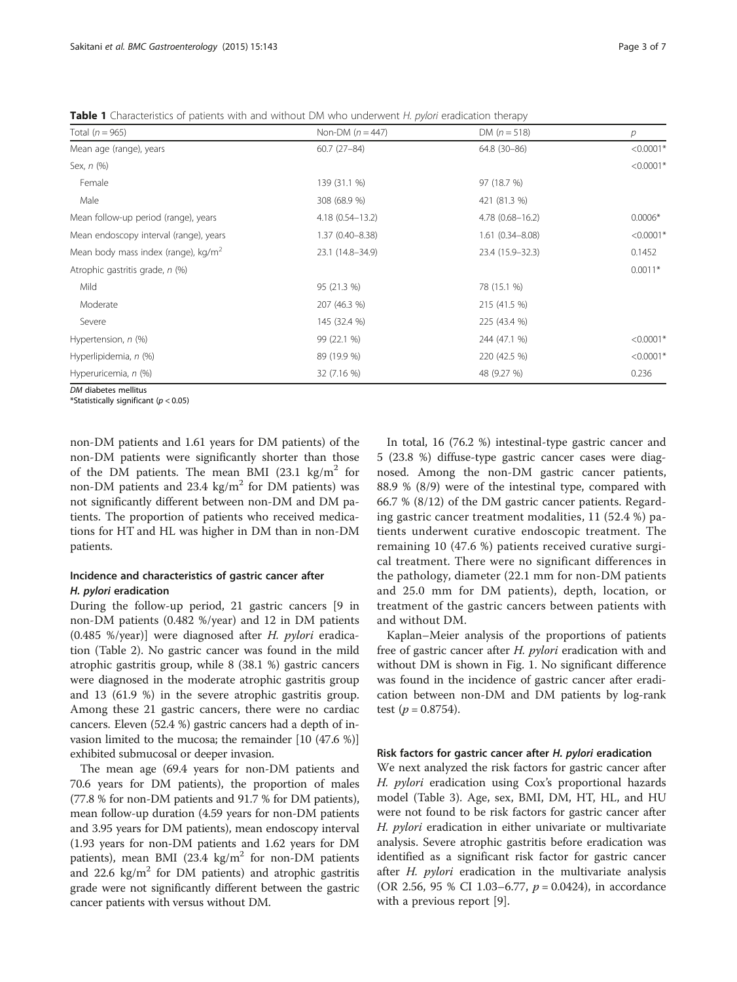<span id="page-2-0"></span>**Table 1** Characteristics of patients with and without DM who underwent H. pylori eradication therapy

| Total $(n = 965)$                               | Non-DM $(n = 447)$  | DM $(n = 518)$      | p           |
|-------------------------------------------------|---------------------|---------------------|-------------|
| Mean age (range), years                         | $60.7(27-84)$       | 64.8 (30-86)        | $< 0.0001*$ |
| Sex, n (%)                                      |                     |                     | $< 0.0001*$ |
| Female                                          | 139 (31.1 %)        | 97 (18.7 %)         |             |
| Male                                            | 308 (68.9 %)        | 421 (81.3 %)        |             |
| Mean follow-up period (range), years            | $4.18(0.54 - 13.2)$ | $4.78(0.68 - 16.2)$ | $0.0006*$   |
| Mean endoscopy interval (range), years          | $1.37(0.40 - 8.38)$ | $1.61(0.34 - 8.08)$ | $< 0.0001*$ |
| Mean body mass index (range), kg/m <sup>2</sup> | 23.1 (14.8-34.9)    | 23.4 (15.9-32.3)    | 0.1452      |
| Atrophic gastritis grade, n (%)                 |                     |                     | $0.0011*$   |
| Mild                                            | 95 (21.3 %)         | 78 (15.1 %)         |             |
| Moderate                                        | 207 (46.3 %)        | 215 (41.5 %)        |             |
| Severe                                          | 145 (32.4 %)        | 225 (43.4 %)        |             |
| Hypertension, n (%)                             | 99 (22.1 %)         | 244 (47.1 %)        | $< 0.0001*$ |
| Hyperlipidemia, n (%)                           | 89 (19.9 %)         | 220 (42.5 %)        | $< 0.0001*$ |
| Hyperuricemia, n (%)                            | 32 (7.16 %)         | 48 (9.27 %)         | 0.236       |
|                                                 |                     |                     |             |

*DM* diabetes mellitus<br>\*Statistically significa

 $*$ Statistically significant ( $p < 0.05$ )

non-DM patients and 1.61 years for DM patients) of the non-DM patients were significantly shorter than those of the DM patients. The mean BMI (23.1 kg/m<sup>2</sup> for non-DM patients and  $23.4 \text{ kg/m}^2$  for DM patients) was not significantly different between non-DM and DM patients. The proportion of patients who received medications for HT and HL was higher in DM than in non-DM patients.

# Incidence and characteristics of gastric cancer after H. pylori eradication

During the follow-up period, 21 gastric cancers [9 in non-DM patients (0.482 %/year) and 12 in DM patients  $(0.485 \%)$ year)] were diagnosed after H. *pylori* eradication (Table [2\)](#page-3-0). No gastric cancer was found in the mild atrophic gastritis group, while 8 (38.1 %) gastric cancers were diagnosed in the moderate atrophic gastritis group and 13 (61.9 %) in the severe atrophic gastritis group. Among these 21 gastric cancers, there were no cardiac cancers. Eleven (52.4 %) gastric cancers had a depth of invasion limited to the mucosa; the remainder [10 (47.6 %)] exhibited submucosal or deeper invasion.

The mean age (69.4 years for non-DM patients and 70.6 years for DM patients), the proportion of males (77.8 % for non-DM patients and 91.7 % for DM patients), mean follow-up duration (4.59 years for non-DM patients and 3.95 years for DM patients), mean endoscopy interval (1.93 years for non-DM patients and 1.62 years for DM patients), mean BMI (23.4 kg/m<sup>2</sup> for non-DM patients and 22.6 kg/m<sup>2</sup> for DM patients) and atrophic gastritis grade were not significantly different between the gastric cancer patients with versus without DM.

In total, 16 (76.2 %) intestinal-type gastric cancer and 5 (23.8 %) diffuse-type gastric cancer cases were diagnosed. Among the non-DM gastric cancer patients, 88.9 % (8/9) were of the intestinal type, compared with 66.7 % (8/12) of the DM gastric cancer patients. Regarding gastric cancer treatment modalities, 11 (52.4 %) patients underwent curative endoscopic treatment. The remaining 10 (47.6 %) patients received curative surgical treatment. There were no significant differences in the pathology, diameter (22.1 mm for non-DM patients and 25.0 mm for DM patients), depth, location, or treatment of the gastric cancers between patients with and without DM.

Kaplan–Meier analysis of the proportions of patients free of gastric cancer after H. pylori eradication with and without DM is shown in Fig. [1](#page-3-0). No significant difference was found in the incidence of gastric cancer after eradication between non-DM and DM patients by log-rank test  $(p = 0.8754)$ .

#### Risk factors for gastric cancer after H. pylori eradication

We next analyzed the risk factors for gastric cancer after H. pylori eradication using Cox's proportional hazards model (Table [3](#page-4-0)). Age, sex, BMI, DM, HT, HL, and HU were not found to be risk factors for gastric cancer after H. *pylori* eradication in either univariate or multivariate analysis. Severe atrophic gastritis before eradication was identified as a significant risk factor for gastric cancer after  $H$ . *pylori* eradication in the multivariate analysis (OR 2.56, 95 % CI 1.03–6.77,  $p = 0.0424$ ), in accordance with a previous report [[9\]](#page-5-0).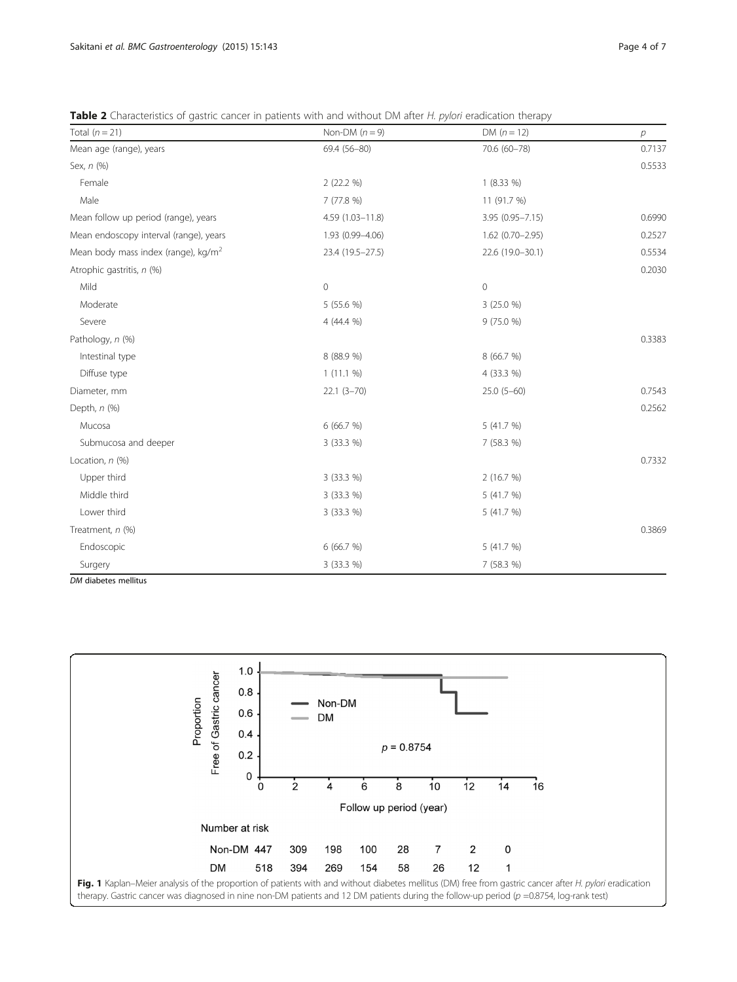<span id="page-3-0"></span>

| Total $(n = 21)$                                | Non-DM $(n = 9)$ | $DM (n = 12)$       | p      |
|-------------------------------------------------|------------------|---------------------|--------|
| Mean age (range), years                         | 69.4 (56-80)     | 70.6 (60-78)        | 0.7137 |
| Sex, n (%)                                      |                  |                     | 0.5533 |
| Female                                          | 2(22.2 %)        | $1(8.33\%)$         |        |
| Male                                            | 7 (77.8 %)       | 11 (91.7 %)         |        |
| Mean follow up period (range), years            | 4.59 (1.03-11.8) | 3.95 (0.95-7.15)    | 0.6990 |
| Mean endoscopy interval (range), years          | 1.93 (0.99-4.06) | $1.62(0.70 - 2.95)$ | 0.2527 |
| Mean body mass index (range), kg/m <sup>2</sup> | 23.4 (19.5-27.5) | 22.6 (19.0-30.1)    | 0.5534 |
| Atrophic gastritis, n (%)                       |                  |                     | 0.2030 |
| Mild                                            | $\mathbf 0$      | $\circ$             |        |
| Moderate                                        | 5 (55.6 %)       | 3 (25.0 %)          |        |
| Severe                                          | 4 (44.4 %)       | 9(75.0%             |        |
| Pathology, n (%)                                |                  |                     | 0.3383 |
| Intestinal type                                 | 8 (88.9 %)       | 8 (66.7 %)          |        |
| Diffuse type                                    | $1(11.1\%)$      | 4 (33.3 %)          |        |
| Diameter, mm                                    | $22.1(3 - 70)$   | $25.0(5-60)$        | 0.7543 |
| Depth, $n$ $(\%)$                               |                  |                     | 0.2562 |
| Mucosa                                          | 6 (66.7 %)       | 5 (41.7 %)          |        |
| Submucosa and deeper                            | 3 (33.3 %)       | 7 (58.3 %)          |        |
| Location, n (%)                                 |                  |                     | 0.7332 |
| Upper third                                     | 3 (33.3 %)       | 2 (16.7 %)          |        |
| Middle third                                    | 3 (33.3 %)       | 5 (41.7 %)          |        |
| Lower third                                     | 3 (33.3 %)       | 5 (41.7 %)          |        |
| Treatment, n (%)                                |                  |                     | 0.3869 |
| Endoscopic                                      | 6 (66.7 %)       | 5 (41.7 %)          |        |
| Surgery                                         | 3 (33.3 %)       | 7 (58.3 %)          |        |

DM diabetes mellitus

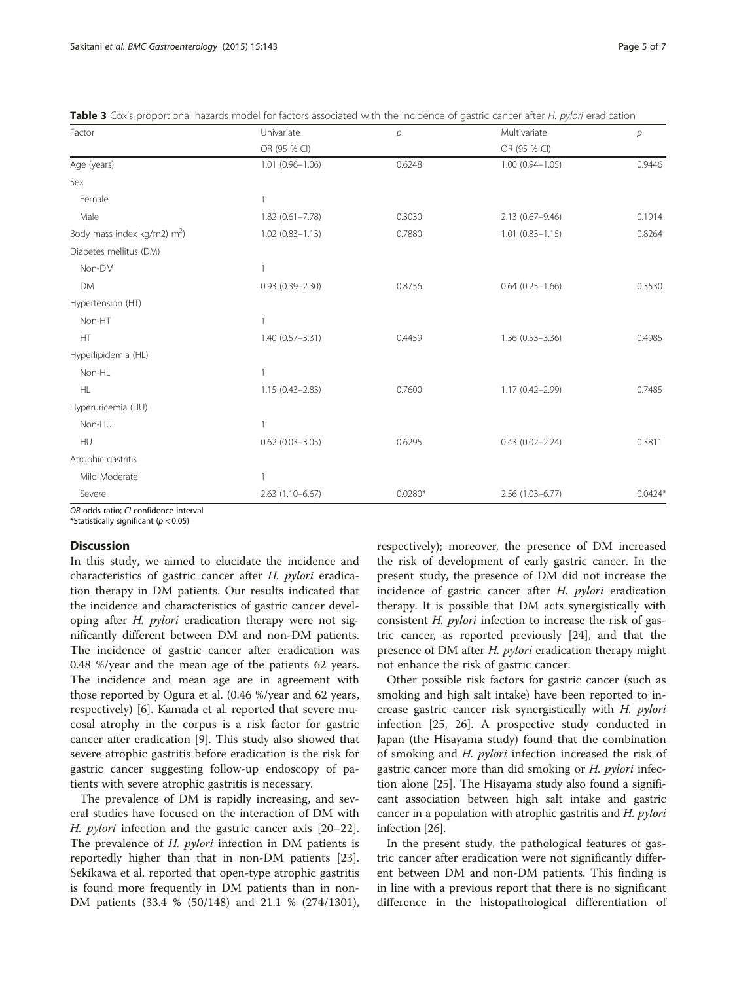| Factor                         | Univariate          | $\mathcal{P}$ | Multivariate           | $\mathcal{P}$ |
|--------------------------------|---------------------|---------------|------------------------|---------------|
|                                | OR (95 % CI)        |               | OR (95 % CI)           |               |
| Age (years)                    | $1.01(0.96 - 1.06)$ | 0.6248        | $1.00(0.94 - 1.05)$    | 0.9446        |
| Sex                            |                     |               |                        |               |
| Female                         | 1                   |               |                        |               |
| Male                           | $1.82(0.61 - 7.78)$ | 0.3030        | 2.13 (0.67-9.46)       | 0.1914        |
| Body mass index kg/m2) $m^2$ ) | $1.02(0.83 - 1.13)$ | 0.7880        | $1.01$ $(0.83 - 1.15)$ | 0.8264        |
| Diabetes mellitus (DM)         |                     |               |                        |               |
| Non-DM                         | 1                   |               |                        |               |
| <b>DM</b>                      | $0.93(0.39 - 2.30)$ | 0.8756        | $0.64(0.25 - 1.66)$    | 0.3530        |
| Hypertension (HT)              |                     |               |                        |               |
| Non-HT                         | 1                   |               |                        |               |
| HT                             | 1.40 (0.57-3.31)    | 0.4459        | 1.36 (0.53-3.36)       | 0.4985        |
| Hyperlipidemia (HL)            |                     |               |                        |               |
| Non-HL                         | 1                   |               |                        |               |
| HL                             | $1.15(0.43 - 2.83)$ | 0.7600        | 1.17 (0.42-2.99)       | 0.7485        |
| Hyperuricemia (HU)             |                     |               |                        |               |
| Non-HU                         | 1                   |               |                        |               |
| HU                             | $0.62$ (0.03-3.05)  | 0.6295        | $0.43(0.02 - 2.24)$    | 0.3811        |
| Atrophic gastritis             |                     |               |                        |               |
| Mild-Moderate                  | $\mathbf{1}$        |               |                        |               |
| Severe                         | $2.63(1.10-6.67)$   | $0.0280*$     | 2.56 (1.03-6.77)       | $0.0424*$     |

<span id="page-4-0"></span>Table 3 Cox's proportional hazards model for factors associated with the incidence of gastric cancer after H. pylori eradication

OR odds ratio; CI confidence interval

\*Statistically significant ( $p < 0.05$ )

## **Discussion**

In this study, we aimed to elucidate the incidence and characteristics of gastric cancer after H. pylori eradication therapy in DM patients. Our results indicated that the incidence and characteristics of gastric cancer developing after  $H$ . *pylori* eradication therapy were not significantly different between DM and non-DM patients. The incidence of gastric cancer after eradication was 0.48 %/year and the mean age of the patients 62 years. The incidence and mean age are in agreement with those reported by Ogura et al. (0.46 %/year and 62 years, respectively) [[6\]](#page-5-0). Kamada et al. reported that severe mucosal atrophy in the corpus is a risk factor for gastric cancer after eradication [[9\]](#page-5-0). This study also showed that severe atrophic gastritis before eradication is the risk for gastric cancer suggesting follow-up endoscopy of patients with severe atrophic gastritis is necessary.

The prevalence of DM is rapidly increasing, and several studies have focused on the interaction of DM with H. pylori infection and the gastric cancer axis [[20](#page-5-0)–[22](#page-5-0)]. The prevalence of *H. pylori* infection in DM patients is reportedly higher than that in non-DM patients [\[23](#page-5-0)]. Sekikawa et al. reported that open-type atrophic gastritis is found more frequently in DM patients than in non-DM patients (33.4 % (50/148) and 21.1 % (274/1301), respectively); moreover, the presence of DM increased the risk of development of early gastric cancer. In the present study, the presence of DM did not increase the incidence of gastric cancer after H. pylori eradication therapy. It is possible that DM acts synergistically with consistent H. pylori infection to increase the risk of gastric cancer, as reported previously [[24](#page-5-0)], and that the presence of DM after *H. pylori* eradication therapy might not enhance the risk of gastric cancer.

Other possible risk factors for gastric cancer (such as smoking and high salt intake) have been reported to increase gastric cancer risk synergistically with H. pylori infection [[25, 26\]](#page-5-0). A prospective study conducted in Japan (the Hisayama study) found that the combination of smoking and *H. pylori* infection increased the risk of gastric cancer more than did smoking or *H. pylori* infection alone [\[25\]](#page-5-0). The Hisayama study also found a significant association between high salt intake and gastric cancer in a population with atrophic gastritis and H. *pylori* infection [[26](#page-5-0)].

In the present study, the pathological features of gastric cancer after eradication were not significantly different between DM and non-DM patients. This finding is in line with a previous report that there is no significant difference in the histopathological differentiation of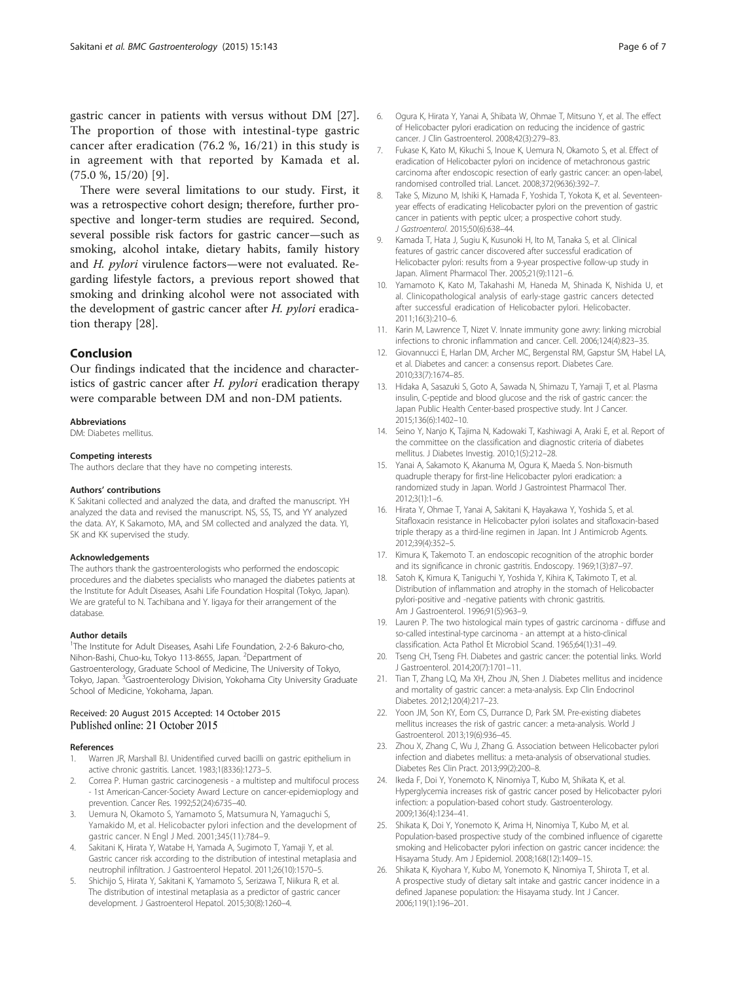<span id="page-5-0"></span>gastric cancer in patients with versus without DM [\[27](#page-6-0)]. The proportion of those with intestinal-type gastric cancer after eradication (76.2 %, 16/21) in this study is in agreement with that reported by Kamada et al. (75.0 %, 15/20) [9].

There were several limitations to our study. First, it was a retrospective cohort design; therefore, further prospective and longer-term studies are required. Second, several possible risk factors for gastric cancer—such as smoking, alcohol intake, dietary habits, family history and H. pylori virulence factors—were not evaluated. Regarding lifestyle factors, a previous report showed that smoking and drinking alcohol were not associated with the development of gastric cancer after H. pylori eradication therapy [[28](#page-6-0)].

# Conclusion

Our findings indicated that the incidence and characteristics of gastric cancer after  $H$ . pylori eradication therapy were comparable between DM and non-DM patients.

#### Abbreviations

DM: Diabetes mellitus.

#### Competing interests

The authors declare that they have no competing interests.

#### Authors' contributions

K Sakitani collected and analyzed the data, and drafted the manuscript. YH analyzed the data and revised the manuscript. NS, SS, TS, and YY analyzed the data. AY, K Sakamoto, MA, and SM collected and analyzed the data. YI, SK and KK supervised the study.

#### Acknowledgements

The authors thank the gastroenterologists who performed the endoscopic procedures and the diabetes specialists who managed the diabetes patients at the Institute for Adult Diseases, Asahi Life Foundation Hospital (Tokyo, Japan). We are grateful to N. Tachibana and Y. Iigaya for their arrangement of the database.

#### Author details

<sup>1</sup>The Institute for Adult Diseases, Asahi Life Foundation, 2-2-6 Bakuro-cho, Nihon-Bashi, Chuo-ku, Tokyo 113-8655, Japan. <sup>2</sup>Department of Gastroenterology, Graduate School of Medicine, The University of Tokyo, Tokyo, Japan. <sup>3</sup>Gastroenterology Division, Yokohama City University Graduate School of Medicine, Yokohama, Japan.

#### Received: 20 August 2015 Accepted: 14 October 2015 Published online: 21 October 2015

#### References

- 1. Warren JR, Marshall BJ. Unidentified curved bacilli on gastric epithelium in active chronic gastritis. Lancet. 1983;1(8336):1273–5.
- 2. Correa P. Human gastric carcinogenesis a multistep and multifocul process - 1st American-Cancer-Society Award Lecture on cancer-epidemioplogy and prevention. Cancer Res. 1992;52(24):6735–40.
- 3. Uemura N, Okamoto S, Yamamoto S, Matsumura N, Yamaguchi S, Yamakido M, et al. Helicobacter pylori infection and the development of gastric cancer. N Engl J Med. 2001;345(11):784–9.
- Sakitani K, Hirata Y, Watabe H, Yamada A, Sugimoto T, Yamaji Y, et al. Gastric cancer risk according to the distribution of intestinal metaplasia and neutrophil infiltration. J Gastroenterol Hepatol. 2011;26(10):1570–5.
- 5. Shichijo S, Hirata Y, Sakitani K, Yamamoto S, Serizawa T, Niikura R, et al. The distribution of intestinal metaplasia as a predictor of gastric cancer development. J Gastroenterol Hepatol. 2015;30(8):1260–4.
- 6. Ogura K, Hirata Y, Yanai A, Shibata W, Ohmae T, Mitsuno Y, et al. The effect of Helicobacter pylori eradication on reducing the incidence of gastric cancer. J Clin Gastroenterol. 2008;42(3):279–83.
- 7. Fukase K, Kato M, Kikuchi S, Inoue K, Uemura N, Okamoto S, et al. Effect of eradication of Helicobacter pylori on incidence of metachronous gastric carcinoma after endoscopic resection of early gastric cancer: an open-label, randomised controlled trial. Lancet. 2008;372(9636):392–7.
- 8. Take S, Mizuno M, Ishiki K, Hamada F, Yoshida T, Yokota K, et al. Seventeenyear effects of eradicating Helicobacter pylori on the prevention of gastric cancer in patients with peptic ulcer; a prospective cohort study. J Gastroenterol. 2015;50(6):638–44.
- 9. Kamada T, Hata J, Sugiu K, Kusunoki H, Ito M, Tanaka S, et al. Clinical features of gastric cancer discovered after successful eradication of Helicobacter pylori: results from a 9-year prospective follow-up study in Japan. Aliment Pharmacol Ther. 2005;21(9):1121–6.
- 10. Yamamoto K, Kato M, Takahashi M, Haneda M, Shinada K, Nishida U, et al. Clinicopathological analysis of early-stage gastric cancers detected after successful eradication of Helicobacter pylori. Helicobacter. 2011;16(3):210–6.
- 11. Karin M, Lawrence T, Nizet V. Innate immunity gone awry: linking microbial infections to chronic inflammation and cancer. Cell. 2006;124(4):823–35.
- 12. Giovannucci E, Harlan DM, Archer MC, Bergenstal RM, Gapstur SM, Habel LA, et al. Diabetes and cancer: a consensus report. Diabetes Care. 2010;33(7):1674–85.
- 13. Hidaka A, Sasazuki S, Goto A, Sawada N, Shimazu T, Yamaji T, et al. Plasma insulin, C-peptide and blood glucose and the risk of gastric cancer: the Japan Public Health Center-based prospective study. Int J Cancer. 2015;136(6):1402–10.
- 14. Seino Y, Nanjo K, Tajima N, Kadowaki T, Kashiwagi A, Araki E, et al. Report of the committee on the classification and diagnostic criteria of diabetes mellitus. J Diabetes Investig. 2010;1(5):212–28.
- 15. Yanai A, Sakamoto K, Akanuma M, Ogura K, Maeda S. Non-bismuth quadruple therapy for first-line Helicobacter pylori eradication: a randomized study in Japan. World J Gastrointest Pharmacol Ther. 2012;3(1):1–6.
- 16. Hirata Y, Ohmae T, Yanai A, Sakitani K, Hayakawa Y, Yoshida S, et al. Sitafloxacin resistance in Helicobacter pylori isolates and sitafloxacin-based triple therapy as a third-line regimen in Japan. Int J Antimicrob Agents. 2012;39(4):352–5.
- 17. Kimura K, Takemoto T. an endoscopic recognition of the atrophic border and its significance in chronic gastritis. Endoscopy. 1969;1(3):87–97.
- 18. Satoh K, Kimura K, Taniguchi Y, Yoshida Y, Kihira K, Takimoto T, et al. Distribution of inflammation and atrophy in the stomach of Helicobacter pylori-positive and -negative patients with chronic gastritis. Am J Gastroenterol. 1996;91(5):963–9.
- 19. Lauren P. The two histological main types of gastric carcinoma diffuse and so-called intestinal-type carcinoma - an attempt at a histo-clinical classification. Acta Pathol Et Microbiol Scand. 1965;64(1):31–49.
- 20. Tseng CH, Tseng FH. Diabetes and gastric cancer: the potential links. World J Gastroenterol. 2014;20(7):1701–11.
- 21. Tian T, Zhang LQ, Ma XH, Zhou JN, Shen J. Diabetes mellitus and incidence and mortality of gastric cancer: a meta-analysis. Exp Clin Endocrinol Diabetes. 2012;120(4):217–23.
- 22. Yoon JM, Son KY, Eom CS, Durrance D, Park SM. Pre-existing diabetes mellitus increases the risk of gastric cancer: a meta-analysis. World J Gastroenterol. 2013;19(6):936–45.
- 23. Zhou X, Zhang C, Wu J, Zhang G. Association between Helicobacter pylori infection and diabetes mellitus: a meta-analysis of observational studies. Diabetes Res Clin Pract. 2013;99(2):200–8.
- 24. Ikeda F, Doi Y, Yonemoto K, Ninomiya T, Kubo M, Shikata K, et al. Hyperglycemia increases risk of gastric cancer posed by Helicobacter pylori infection: a population-based cohort study. Gastroenterology. 2009;136(4):1234–41.
- 25. Shikata K, Doi Y, Yonemoto K, Arima H, Ninomiya T, Kubo M, et al. Population-based prospective study of the combined influence of cigarette smoking and Helicobacter pylori infection on gastric cancer incidence: the Hisayama Study. Am J Epidemiol. 2008;168(12):1409–15.
- 26. Shikata K, Kiyohara Y, Kubo M, Yonemoto K, Ninomiya T, Shirota T, et al. A prospective study of dietary salt intake and gastric cancer incidence in a defined Japanese population: the Hisayama study. Int J Cancer. 2006;119(1):196–201.